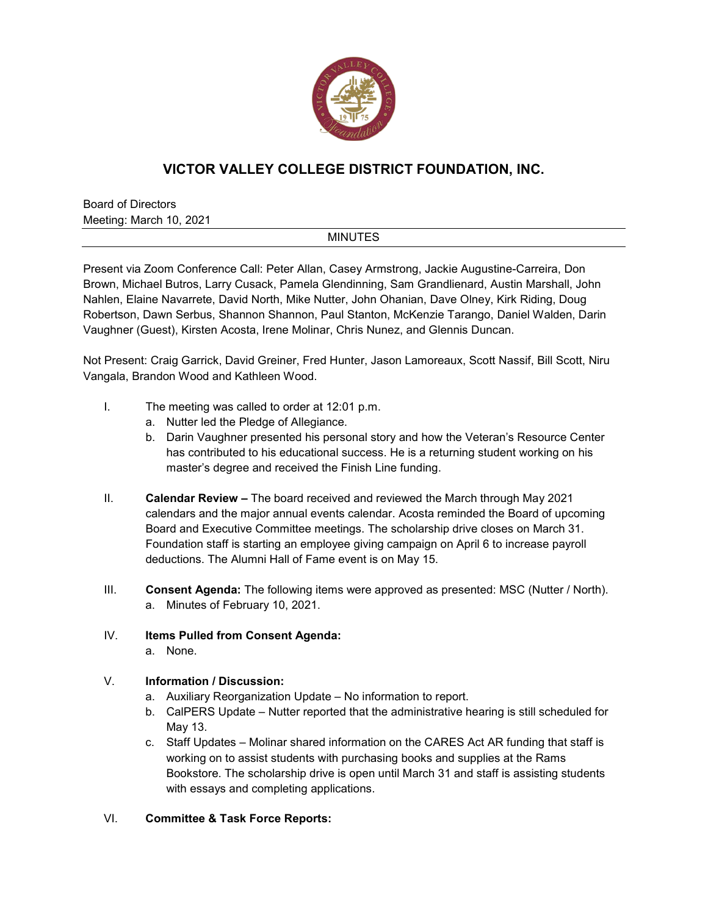

## **VICTOR VALLEY COLLEGE DISTRICT FOUNDATION, INC.**

Board of Directors Meeting: March 10, 2021

## **MINUTES**

Present via Zoom Conference Call: Peter Allan, Casey Armstrong, Jackie Augustine-Carreira, Don Brown, Michael Butros, Larry Cusack, Pamela Glendinning, Sam Grandlienard, Austin Marshall, John Nahlen, Elaine Navarrete, David North, Mike Nutter, John Ohanian, Dave Olney, Kirk Riding, Doug Robertson, Dawn Serbus, Shannon Shannon, Paul Stanton, McKenzie Tarango, Daniel Walden, Darin Vaughner (Guest), Kirsten Acosta, Irene Molinar, Chris Nunez, and Glennis Duncan.

Not Present: Craig Garrick, David Greiner, Fred Hunter, Jason Lamoreaux, Scott Nassif, Bill Scott, Niru Vangala, Brandon Wood and Kathleen Wood.

- I. The meeting was called to order at 12:01 p.m.
	- a. Nutter led the Pledge of Allegiance.
	- b. Darin Vaughner presented his personal story and how the Veteran's Resource Center has contributed to his educational success. He is a returning student working on his master's degree and received the Finish Line funding.
- II. **Calendar Review –** The board received and reviewed the March through May 2021 calendars and the major annual events calendar. Acosta reminded the Board of upcoming Board and Executive Committee meetings. The scholarship drive closes on March 31. Foundation staff is starting an employee giving campaign on April 6 to increase payroll deductions. The Alumni Hall of Fame event is on May 15.
- III. **Consent Agenda:** The following items were approved as presented: MSC (Nutter / North). a. Minutes of February 10, 2021.
- IV. **Items Pulled from Consent Agenda:** a. None.

## V. **Information / Discussion:**

- a. Auxiliary Reorganization Update No information to report.
- b. CalPERS Update Nutter reported that the administrative hearing is still scheduled for May 13.
- c. Staff Updates Molinar shared information on the CARES Act AR funding that staff is working on to assist students with purchasing books and supplies at the Rams Bookstore. The scholarship drive is open until March 31 and staff is assisting students with essays and completing applications.
- VI. **Committee & Task Force Reports:**